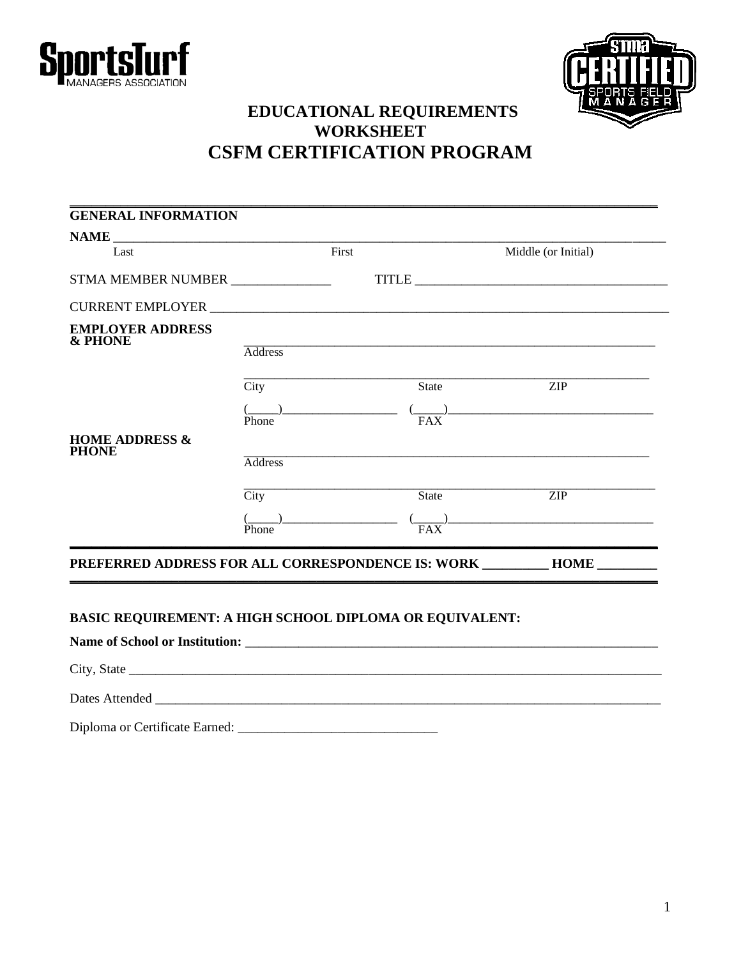



# EDUCATIONAL REQUIREMENTS<br>WORKSHEET **CSFM CERTIFICATION PROGRAM**

| <b>GENERAL INFORMATION</b>                                     |                            |       |                                                                             |  |
|----------------------------------------------------------------|----------------------------|-------|-----------------------------------------------------------------------------|--|
|                                                                |                            |       |                                                                             |  |
| Last                                                           |                            | First | Middle (or Initial)                                                         |  |
| STMA MEMBER NUMBER ________________                            |                            |       |                                                                             |  |
|                                                                |                            |       |                                                                             |  |
| <b>EMPLOYER ADDRESS</b><br>& PHONE                             | <b>Address</b>             |       |                                                                             |  |
|                                                                | City                       | State | $\overline{ZIP}$                                                            |  |
|                                                                |                            |       | $\frac{(-)}{\text{Phone}}$ $\frac{(-)}{\text{FAX}}$                         |  |
| <b>HOME ADDRESS &amp;</b><br><b>PHONE</b>                      |                            |       |                                                                             |  |
|                                                                | <b>Address</b>             |       |                                                                             |  |
|                                                                | $\overline{\mathrm{City}}$ | State | ZIP                                                                         |  |
|                                                                | Phone                      |       | $\frac{(\Box)}{\Box}$ ) $\qquad \qquad \frac{(\Box)}{\Box}$                 |  |
|                                                                |                            |       | PREFERRED ADDRESS FOR ALL CORRESPONDENCE IS: WORK __________ HOME _________ |  |
|                                                                |                            |       |                                                                             |  |
| <b>BASIC REQUIREMENT: A HIGH SCHOOL DIPLOMA OR EQUIVALENT:</b> |                            |       |                                                                             |  |
| Name of School or Institution:                                 |                            |       |                                                                             |  |
|                                                                |                            |       |                                                                             |  |
|                                                                |                            |       |                                                                             |  |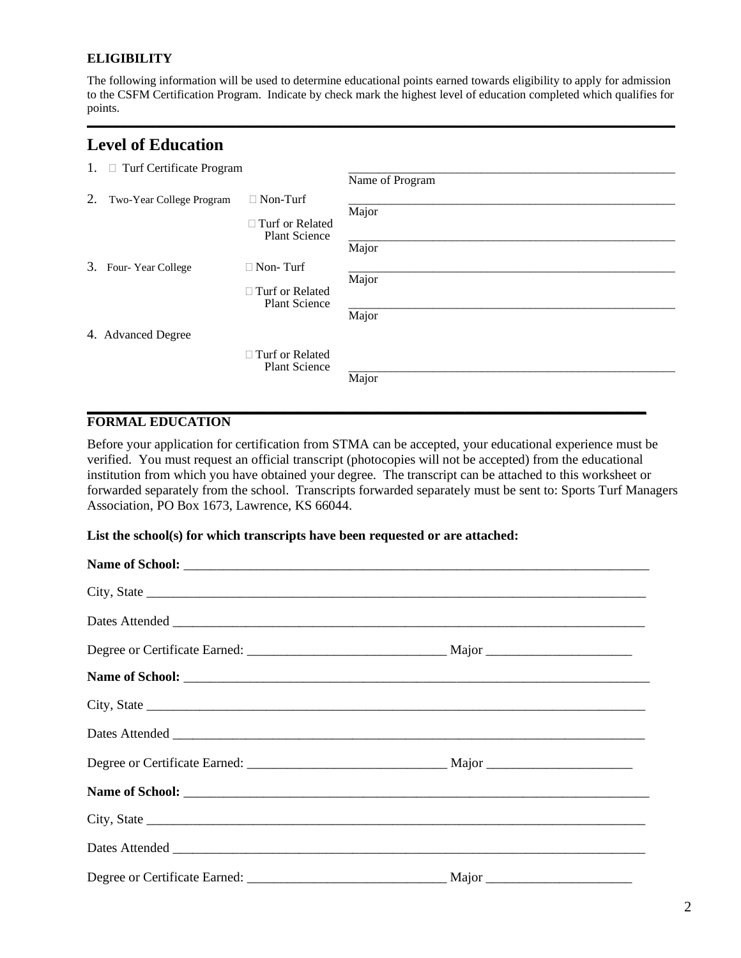## **ELIGIBILITY**

The following information will be used to determine educational points earned towards eligibility to apply for admission to the CSFM Certification Program. Indicate by check mark the highest level of education completed which qualifies for points. **\_\_\_\_\_\_\_\_\_\_\_\_\_\_\_\_\_\_\_\_\_\_\_\_\_\_\_\_\_\_\_\_\_\_\_\_\_\_\_\_\_\_\_\_\_\_\_\_\_\_\_\_\_\_\_\_\_\_\_\_\_\_\_\_\_\_\_\_\_\_\_\_\_\_\_\_\_\_\_\_\_**

# **Level of Education**

|    | 1. □ Turf Certificate Program |                                                |                 |
|----|-------------------------------|------------------------------------------------|-----------------|
|    |                               |                                                | Name of Program |
| 2. | Two-Year College Program      | $\Box$ Non-Turf                                |                 |
|    |                               |                                                | Major           |
|    |                               | $\Box$ Turf or Related<br><b>Plant Science</b> |                 |
|    |                               |                                                | Major           |
|    | 3. Four-Year College          | $\Box$ Non-Turf                                |                 |
|    |                               |                                                | Major           |
|    |                               | $\Box$ Turf or Related<br><b>Plant Science</b> |                 |
|    |                               |                                                | Major           |
|    | 4. Advanced Degree            |                                                |                 |
|    |                               | $\Box$ Turf or Related                         |                 |
|    |                               | <b>Plant Science</b>                           | Major           |

#### **\_\_\_\_\_\_\_\_\_\_\_\_\_\_\_\_\_\_\_\_\_\_\_\_\_\_\_\_\_\_\_\_\_\_\_\_\_\_\_\_\_\_\_\_\_\_\_\_\_\_\_\_\_\_\_\_\_\_\_\_\_\_\_\_\_\_\_\_\_\_\_\_\_\_\_\_\_ FORMAL EDUCATION**

Before your application for certification from STMA can be accepted, your educational experience must be verified. You must request an official transcript (photocopies will not be accepted) from the educational institution from which you have obtained your degree. The transcript can be attached to this worksheet or forwarded separately from the school. Transcripts forwarded separately must be sent to: Sports Turf Managers Association, PO Box 1673, Lawrence, KS 66044.

#### **List the school(s) for which transcripts have been requested or are attached:**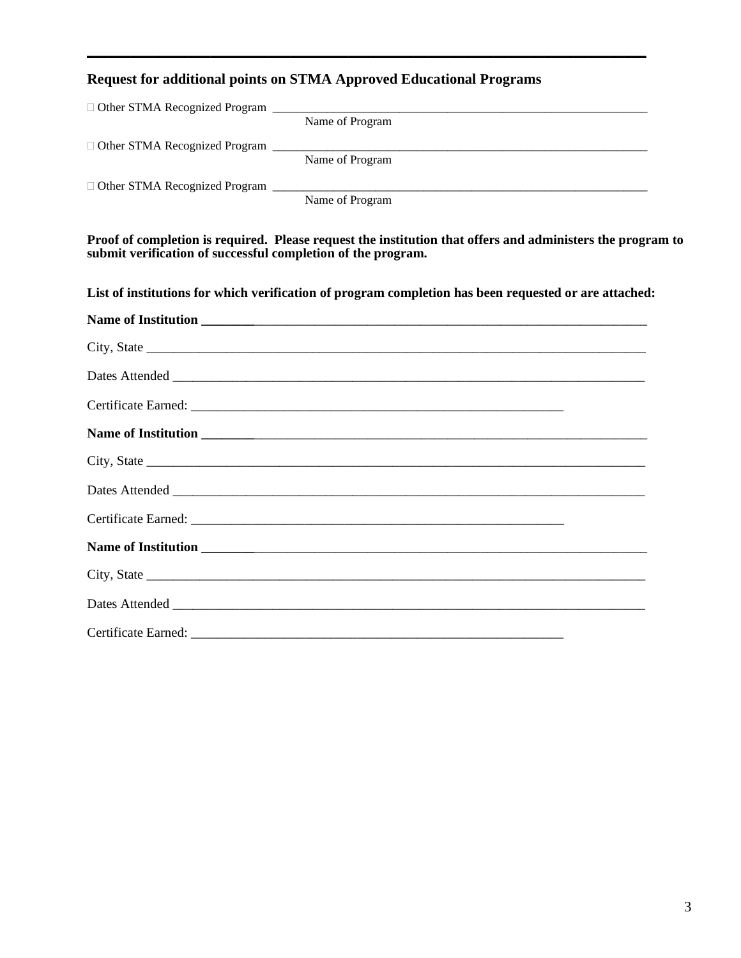## **Request for additional points on STMA Approved Educational Programs**

| □ Other STMA Recognized Program |                 |
|---------------------------------|-----------------|
|                                 | Name of Program |
| □ Other STMA Recognized Program |                 |
|                                 | Name of Program |
| □ Other STMA Recognized Program |                 |
|                                 | Name of Program |

**\_\_\_\_\_\_\_\_\_\_\_\_\_\_\_\_\_\_\_\_\_\_\_\_\_\_\_\_\_\_\_\_\_\_\_\_\_\_\_\_\_\_\_\_\_\_\_\_\_\_\_\_\_\_\_\_\_\_\_\_\_\_\_\_\_\_\_\_\_\_\_\_\_\_\_\_\_**

**Proof of completion is required. Please request the institution that offers and administers the program to submit verification of successful completion of the program.**

**List of institutions for which verification of program completion has been requested or are attached:**